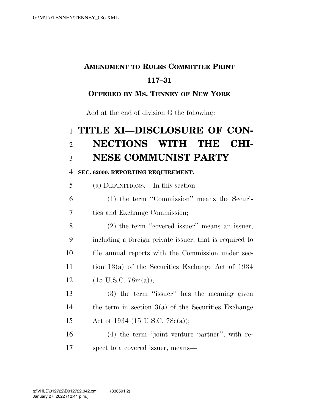## **AMENDMENT TO RULES COMMITTEE PRINT**

### **117–31**

### **OFFERED BY MS. TENNEY OF NEW YORK**

Add at the end of division G the following:

# **TITLE XI—DISCLOSURE OF CON- NECTIONS WITH THE CHI-NESE COMMUNIST PARTY**

#### **SEC. 62000. REPORTING REQUIREMENT.**

(a) DEFINITIONS.—In this section—

 (1) the term ''Commission'' means the Securi-ties and Exchange Commission;

 (2) the term ''covered issuer'' means an issuer, including a foreign private issuer, that is required to file annual reports with the Commission under sec- tion 13(a) of the Securities Exchange Act of 1934  $(15 \text{ U.S.C. } 78\text{m(a)});$ 

13 (3) the term "issuer" has the meaning given the term in section 3(a) of the Securities Exchange Act of 1934 (15 U.S.C. 78c(a));

 (4) the term ''joint venture partner'', with re-spect to a covered issuer, means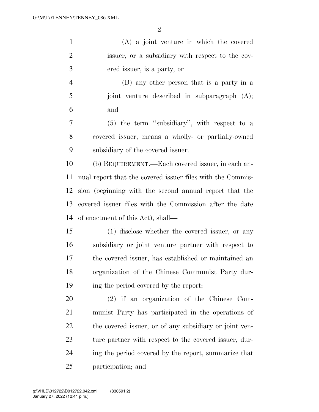| $\mathbf{1}$   | $(A)$ a joint venture in which the covered                 |
|----------------|------------------------------------------------------------|
| $\overline{2}$ | issuer, or a subsidiary with respect to the cov-           |
| 3              | ered issuer, is a party; or                                |
| $\overline{4}$ | (B) any other person that is a party in a                  |
| 5              | joint venture described in subparagraph (A);               |
| 6              | and                                                        |
| $\overline{7}$ | $(5)$ the term "subsidiary", with respect to a             |
| 8              | covered issuer, means a wholly- or partially-owned         |
| 9              | subsidiary of the covered issuer.                          |
| 10             | (b) REQUIREMENT.—Each covered issuer, in each an-          |
| 11             | nual report that the covered issuer files with the Commis- |
| 12             | sion (beginning with the second annual report that the     |
| 13             | covered issuer files with the Commission after the date    |
| 14             | of enactment of this Act), shall—                          |
| 15             | (1) disclose whether the covered issuer, or any            |
| 16             | subsidiary or joint venture partner with respect to        |
| 17             | the covered issuer, has established or maintained an       |
| 18             | organization of the Chinese Communist Party dur-           |
| 19             | ing the period covered by the report;                      |
| 20             | $(2)$ if an organization of the Chinese Com-               |
| 21             | munist Party has participated in the operations of         |
| 22             | the covered issuer, or of any subsidiary or joint ven-     |
| 23             | ture partner with respect to the covered issuer, dur-      |
| 24             | ing the period covered by the report, summarize that       |
| 25             | participation; and                                         |